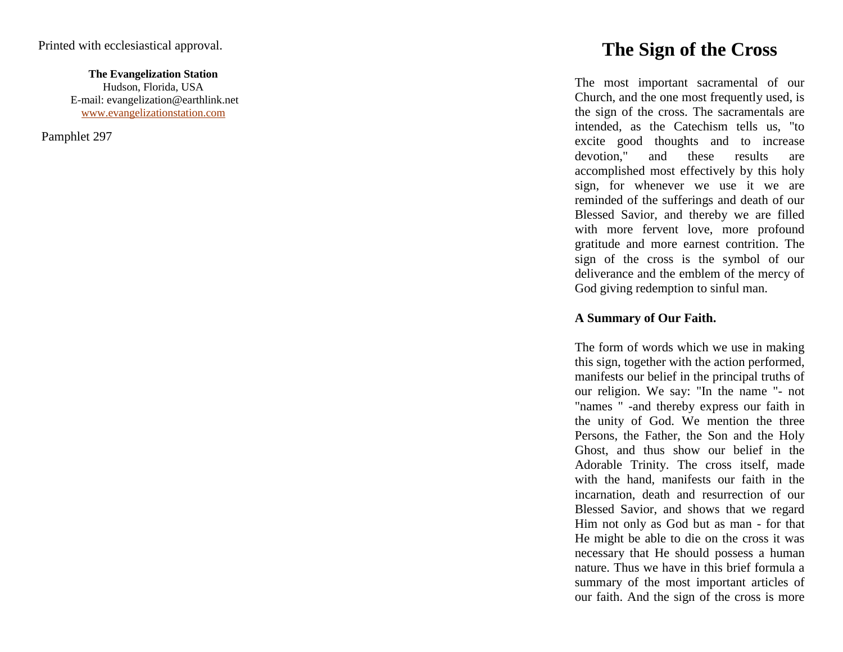**The Evangelization Station** Hudson, Florida, USA E -mail: evangelization@earthlink.net [www.evangelizationstation.com](http://www.pjpiisoe.org/)

Pamphlet 297

# **The Sign of the Cross**

The most important sacramental of our Church, and the one most frequently used, is the sign of the cross. The sacramentals are intended, as the Catechism tells us, "to excite good thoughts and to increase devotion," and these results are accomplished most effectively by this holy sign, for whenever we use it we are reminded of the sufferings and death of our Blessed Savior, and thereby we are filled with more fervent love, more profound gratitude and more earnest contrition. The sign of the cross is the symbol of our deliverance and the emblem of the mercy of God giving redemption to sinful man.

## **A Summary of Our Faith.**

The form of words which we use in making this sign, together with the action performed, manifests our belief in the principal truths of our religion. We say: "In the name " - not "names " -and thereby express our faith in the unity of God. We mention the three Persons, the Father, the Son and the Holy Ghost, and thus show our belief in the Adorable Trinity. The cross itself, made with the hand, manifests our faith in the incarnation, death and resurrection of our Blessed Savior, and shows that we regard Him not only as God but as man - for that He might be able to die on the cross it was necessary that He should possess a human nature. Thus we have in this brief formula a summary of the most important articles of our faith. And the sign of the cross is more